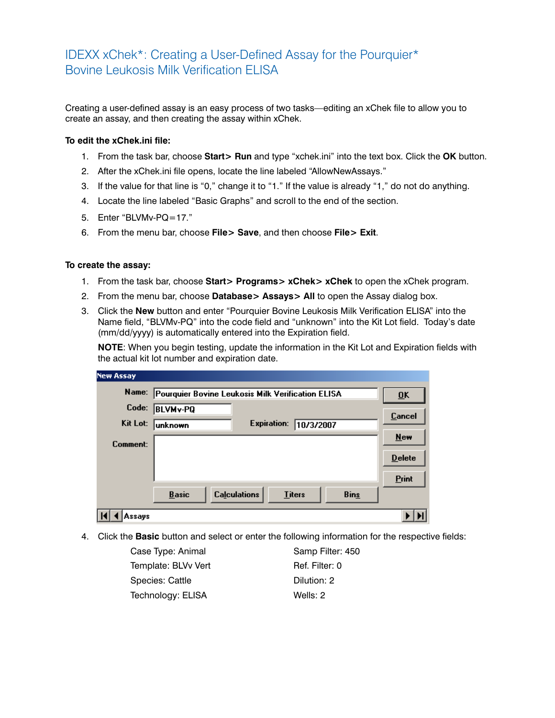## IDEXX xChek\*: Creating a User-Defined Assay for the Pourquier\* Bovine Leukosis Milk Verification ELISA

Creating a user-defined assay is an easy process of two tasks—editing an xChek file to allow you to create an assay, and then creating the assay within xChek.

## **To edit the xChek.ini file:**

- 1. From the task bar, choose **Start> Run** and type "xchek.ini" into the text box. Click the **OK** button.
- 2. After the xChek.ini file opens, locate the line labeled "AllowNewAssays."
- 3. If the value for that line is "0," change it to "1." If the value is already "1," do not do anything.
- 4. Locate the line labeled "Basic Graphs" and scroll to the end of the section.
- 5. Enter "BLVMv-PQ=17."
- 6. From the menu bar, choose **File> Save**, and then choose **File> Exit**.

## **To create the assay:**

- 1. From the task bar, choose **Start> Programs> xChek> xChek** to open the xChek program.
- 2. From the menu bar, choose **Database> Assays> All** to open the Assay dialog box.
- 3. Click the **New** button and enter "Pourquier Bovine Leukosis Milk Verification ELISA" into the Name field, "BLVMv-PQ" into the code field and "unknown" into the Kit Lot field. Today's date (mm/dd/yyyy) is automatically entered into the Expiration field.

**NOTE:** When you begin testing, update the information in the Kit Lot and Expiration fields with the actual kit lot number and expiration date.

| <b>New Assay</b> |                                                                     |                           |
|------------------|---------------------------------------------------------------------|---------------------------|
| Name:            | Pourquier Bovine Leukosis Milk Verification ELISA                   | $\overline{\mathbf{U}}$ K |
| Code:            | <b>BLVMv-PQ</b>                                                     | Cancel                    |
| Kit Lot:         | Expiration:<br>10/3/2007<br>lunknown                                |                           |
| Comment:         |                                                                     | $New$                     |
|                  |                                                                     | $D$ elete                 |
|                  |                                                                     | Print                     |
|                  | <b>Calculations</b><br><b>Basic</b><br><b>Titers</b><br><b>Bins</b> |                           |
| Assavs           |                                                                     |                           |

4. Click the **Basic** button and select or enter the following information for the respective fields:

Case Type: Animal Samp Filter: 450 Template: BLVv Vert Ref. Filter: 0 Species: Cattle Dilution: 2 Technology: ELISA Wells: 2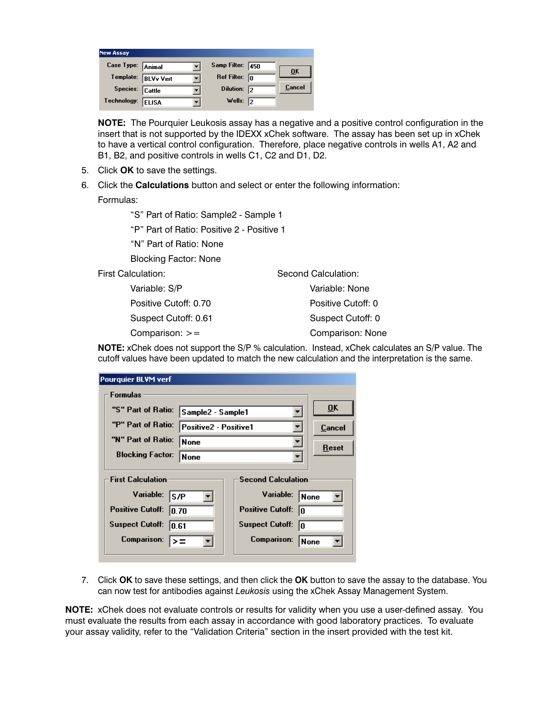| <b>New Assay</b>  |                     |                         |                |
|-------------------|---------------------|-------------------------|----------------|
| Case Type: Animal |                     | Samp Filter: 450        | 0 <sup>K</sup> |
|                   | Template: BLVv Vert | Ref Filter: $\boxed{0}$ |                |
| Species: Cattle   |                     | Dilution: 2             | <b>Cancel</b>  |
| Technology:       | <b>ELISA</b>        | Wells: $\sqrt{2}$       |                |

**NOTE:** The Pourquier Leukosis assay has a negative and a positive control configuration in the insert that is not supported by the IDEXX xChek software. The assay has been set up in xChek to have a vertical control configuration. Therefore, place negative controls in wells A1, A2 and B1, B2, and positive controls in wells C1, C2 and D1, D2.

- 5. Click **OK** to save the settings.
- 6. Click the **Calculations** button and select or enter the following information:

Formulas:

"S" Part of Ratio: Sample2 - Sample 1

"P" Part of Ratio: Positive 2 - Positive 1

"N" Part of Ratio: None

Blocking Factor: None

First Calculation:

 Variable: S/P Positive Cutoff: 0.70 Suspect Cutoff: 0.61 Comparison: >=

Second Calculation: Variable: None Positive Cutoff: 0 Suspect Cutoff: 0 Comparison: None

**NOTE:** xChek does not support the S/P % calculation. Instead, xChek calculates an S/P value. The cutoff values have been updated to match the new calculation and the interpretation is the same.

| <b>Pourquier BLVM verf</b>                  |                   |                               |        |  |  |  |
|---------------------------------------------|-------------------|-------------------------------|--------|--|--|--|
| <b>Formulas</b>                             |                   |                               |        |  |  |  |
| "S" Part of Ratio:                          | Sample2 - Sample1 |                               | ŪK     |  |  |  |
| "P" Part of Ratio:<br>Positive2 - Positive1 |                   |                               | Cancel |  |  |  |
| "N" Part of Ratio:<br>None                  |                   |                               | Reset  |  |  |  |
| <b>Blocking Factor:</b><br>None             |                   |                               |        |  |  |  |
| <b>First Calculation</b>                    |                   | <b>Second Calculation</b>     |        |  |  |  |
| Variable:<br>ls/P                           |                   | Variable:<br> None            |        |  |  |  |
| <b>Positive Cutoff:</b><br>10.70            |                   | <b>Positive Cutoff:</b><br>10 |        |  |  |  |
| <b>Suspect Cutoff:</b><br>10.61             |                   | <b>Suspect Cutoff:</b><br>In  |        |  |  |  |
| <b>Comparison:</b>                          |                   | <b>Comparison:</b><br>None    |        |  |  |  |
|                                             |                   |                               |        |  |  |  |

7. Click **OK** to save these settings, and then click the **OK** button to save the assay to the database. You can now test for antibodies against *Leukosis* using the xChek Assay Management System.

**NOTE:** xChek does not evaluate controls or results for validity when you use a user-defined assay. You must evaluate the results from each assay in accordance with good laboratory practices. To evaluate your assay validity, refer to the "Validation Criteria" section in the insert provided with the test kit.